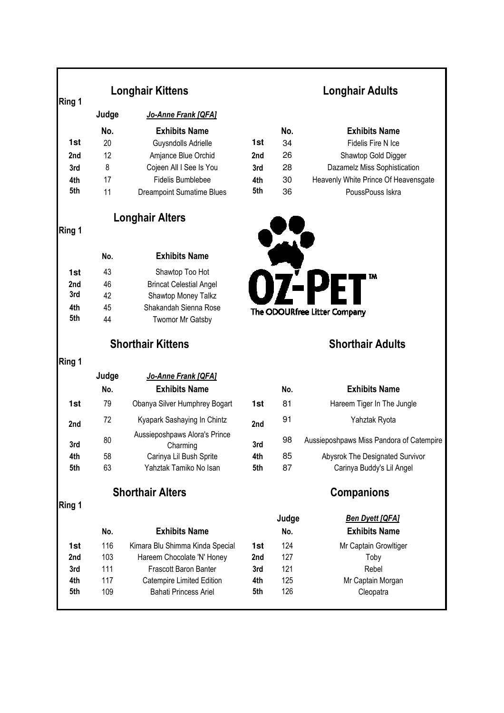|            | <b>Longhair Kittens</b>  |                                            | <b>Longhair Adults</b> |                         |                                                     |  |
|------------|--------------------------|--------------------------------------------|------------------------|-------------------------|-----------------------------------------------------|--|
| Ring 1     | Judge                    | Jo-Anne Frank [QFA]                        |                        |                         |                                                     |  |
|            |                          |                                            |                        |                         |                                                     |  |
| 1st        | No.<br>20                | <b>Exhibits Name</b>                       | 1st                    | No.<br>34               | <b>Exhibits Name</b><br>Fidelis Fire N Ice          |  |
|            | 12                       | Guysndolls Adrielle<br>Amjance Blue Orchid |                        | 26                      |                                                     |  |
| 2nd<br>3rd | 8                        | Cojeen All I See Is You                    | 2nd<br>3rd             | 28                      | Shawtop Gold Digger<br>Dazamelz Miss Sophistication |  |
| 4th        | 17                       | <b>Fidelis Bumblebee</b>                   | 4th                    | 30                      | Heavenly White Prince Of Heavensgate                |  |
| 5th        | 11                       | <b>Dreampoint Sumatime Blues</b>           | 5th                    | 36                      | PoussPouss Iskra                                    |  |
|            | <b>Longhair Alters</b>   |                                            |                        |                         |                                                     |  |
| Ring 1     |                          |                                            |                        |                         |                                                     |  |
|            | No.                      | <b>Exhibits Name</b>                       |                        |                         |                                                     |  |
| 1st        | 43                       | Shawtop Too Hot                            |                        |                         | TM                                                  |  |
| 2nd        | 46                       | <b>Brincat Celestial Angel</b>             |                        |                         |                                                     |  |
| 3rd        | 42                       | Shawtop Money Talkz                        |                        |                         |                                                     |  |
| 4th        | 45                       | Shakandah Sienna Rose                      |                        |                         | The ODOURfree Litter Company                        |  |
| 5th        | 44                       | <b>Twomor Mr Gatsby</b>                    |                        |                         |                                                     |  |
|            | <b>Shorthair Kittens</b> |                                            |                        | <b>Shorthair Adults</b> |                                                     |  |
| Ring 1     |                          |                                            |                        |                         |                                                     |  |
|            | Judge                    | Jo-Anne Frank [QFA]                        |                        |                         |                                                     |  |
|            | No.                      | <b>Exhibits Name</b>                       |                        | No.                     | <b>Exhibits Name</b>                                |  |
| 1st        | 79                       | Obanya Silver Humphrey Bogart              | 1st                    | 81                      | Hareem Tiger In The Jungle                          |  |
| 2nd        | 72                       | Kyapark Sashaying In Chintz                | 2nd                    | 91                      | Yahztak Ryota                                       |  |
| 3rd        | 80                       | Aussieposhpaws Alora's Prince<br>Charming  | 3rd                    | 98                      | Aussieposhpaws Miss Pandora of Catempire            |  |
| 4th        | 58                       | Carinya Lil Bush Sprite                    | 4th                    | 85                      | Abysrok The Designated Survivor                     |  |
| 5th        | 63                       | Yahztak Tamiko No Isan                     | 5th                    | 87                      | Carinya Buddy's Lil Angel                           |  |
|            | <b>Shorthair Alters</b>  |                                            |                        | <b>Companions</b>       |                                                     |  |
| Ring 1     |                          |                                            |                        |                         |                                                     |  |
|            |                          |                                            |                        | Judge                   | <b>Ben Dyett [QFA]</b>                              |  |
|            | No.                      | <b>Exhibits Name</b>                       |                        | No.                     | <b>Exhibits Name</b>                                |  |
| 1st        | 116                      | Kimara Blu Shimma Kinda Special            | 1st                    | 124                     | Mr Captain Growltiger                               |  |
| 2nd        | 103                      | Hareem Chocolate 'N' Honey                 | 2nd                    | 127                     | Toby                                                |  |
| 3rd        | 111                      | Frascott Baron Banter                      | 3rd                    | 121                     | Rebel                                               |  |
| 4th        | 117                      | Catempire Limited Edition                  | 4th                    | 125<br>126              | Mr Captain Morgan                                   |  |
| 5th        | 109                      | <b>Bahati Princess Ariel</b>               | 5th                    |                         | Cleopatra                                           |  |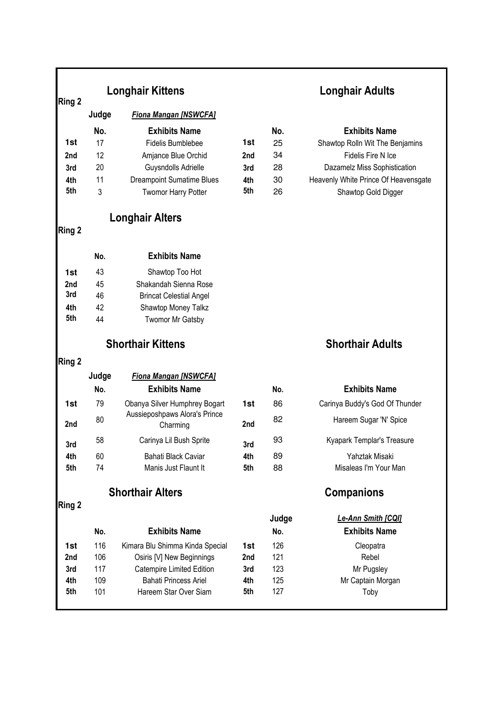| Ring 2                           | <b>Longhair Kittens</b>  |                                           |     | <b>Longhair Adults</b> |                                            |  |
|----------------------------------|--------------------------|-------------------------------------------|-----|------------------------|--------------------------------------------|--|
|                                  | Judge                    | <b>Fiona Mangan [NSWCFA]</b>              |     |                        |                                            |  |
|                                  | No.                      | <b>Exhibits Name</b>                      |     | No.                    | <b>Exhibits Name</b>                       |  |
| 1st                              | 17                       | Fidelis Bumblebee                         | 1st | 25                     | Shawtop Rolln Wit The Benjamins            |  |
| 2nd                              | 12                       | Amjance Blue Orchid                       | 2nd | 34                     | Fidelis Fire N Ice                         |  |
| 3rd                              | 20                       | Guysndolls Adrielle                       | 3rd | 28                     | Dazamelz Miss Sophistication               |  |
| 4th                              | 11                       | <b>Dreampoint Sumatime Blues</b>          | 4th | 30                     | Heavenly White Prince Of Heavensgate       |  |
| 5th                              | 3                        | <b>Twomor Harry Potter</b>                | 5th | 26                     | Shawtop Gold Digger                        |  |
| <b>Longhair Alters</b><br>Ring 2 |                          |                                           |     |                        |                                            |  |
|                                  | No.                      | <b>Exhibits Name</b>                      |     |                        |                                            |  |
| 1st                              | 43                       | Shawtop Too Hot                           |     |                        |                                            |  |
| 2nd                              | 45                       | Shakandah Sienna Rose                     |     |                        |                                            |  |
| 3rd                              | 46                       | <b>Brincat Celestial Angel</b>            |     |                        |                                            |  |
| 4th                              | 42                       | Shawtop Money Talkz                       |     |                        |                                            |  |
| 5th                              | 44                       | <b>Twomor Mr Gatsby</b>                   |     |                        |                                            |  |
|                                  | <b>Shorthair Kittens</b> |                                           |     |                        | <b>Shorthair Adults</b>                    |  |
| Ring 2                           |                          |                                           |     |                        |                                            |  |
|                                  | Judge                    | <b>Fiona Mangan [NSWCFA]</b>              |     |                        |                                            |  |
|                                  | No.                      | <b>Exhibits Name</b>                      |     | No.                    | <b>Exhibits Name</b>                       |  |
| 1st                              | 79                       | Obanya Silver Humphrey Bogart             | 1st | 86                     | Carinya Buddy's God Of Thunder             |  |
| 2nd                              | 80                       | Aussieposhpaws Alora's Prince<br>Charming | 2nd | 82                     | Hareem Sugar 'N' Spice                     |  |
| 3rd                              | 58                       | Carinya Lil Bush Sprite                   | 3rd | 93                     | Kyapark Templar's Treasure                 |  |
| 4th                              | 60                       | Bahati Black Caviar                       | 4th | 89                     | Yahztak Misaki                             |  |
| 5th                              | 74                       | Manis Just Flaunt It                      | 5th | 88                     | Misaleas I'm Your Man                      |  |
|                                  | <b>Shorthair Alters</b>  |                                           |     | <b>Companions</b>      |                                            |  |
| <b>Ring 2</b>                    |                          |                                           |     |                        |                                            |  |
|                                  | No.                      | <b>Exhibits Name</b>                      |     | Judge<br>No.           | Le-Ann Smith [CQI]<br><b>Exhibits Name</b> |  |
| 1st                              | 116                      | Kimara Blu Shimma Kinda Special           | 1st | 126                    | Cleopatra                                  |  |
| 2nd                              | 106                      | Osiris [V] New Beginnings                 | 2nd | 121                    | Rebel                                      |  |
| 3rd                              | 117                      | Catempire Limited Edition                 | 3rd | 123                    | Mr Pugsley                                 |  |
| 4th                              | 109                      | <b>Bahati Princess Ariel</b>              | 4th | 125                    | Mr Captain Morgan                          |  |
| 5th                              | 101                      | Hareem Star Over Siam                     | 5th | 127                    | Toby                                       |  |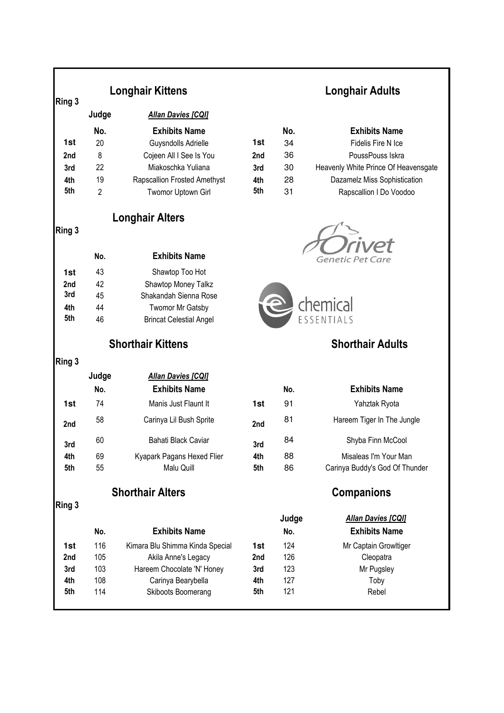| Ring 3 | <b>Longhair Kittens</b> |                                 |     | <b>Longhair Adults</b> |                                                   |  |
|--------|-------------------------|---------------------------------|-----|------------------------|---------------------------------------------------|--|
|        | Judge                   | <b>Allan Davies [CQI]</b>       |     |                        |                                                   |  |
|        | No.                     | <b>Exhibits Name</b>            |     | No.                    | <b>Exhibits Name</b>                              |  |
| 1st    | 20                      | Guysndolls Adrielle             | 1st | 34                     | Fidelis Fire N Ice                                |  |
| 2nd    | 8                       | Cojeen All I See Is You         | 2nd | 36                     | PoussPouss Iskra                                  |  |
| 3rd    | 22                      | Miakoschka Yuliana              | 3rd | 30                     | Heavenly White Prince Of Heavensgate              |  |
| 4th    | 19                      | Rapscallion Frosted Amethyst    | 4th | 28                     | Dazamelz Miss Sophistication                      |  |
| 5th    | $\overline{2}$          | Twomor Uptown Girl              | 5th | 31                     | Rapscallion I Do Voodoo                           |  |
|        |                         | <b>Longhair Alters</b>          |     |                        |                                                   |  |
| Ring 3 |                         |                                 |     |                        |                                                   |  |
|        | No.                     | <b>Exhibits Name</b>            |     |                        | Genetic Pet Care                                  |  |
| 1st    | 43                      | Shawtop Too Hot                 |     |                        |                                                   |  |
| 2nd    | 42                      | Shawtop Money Talkz             |     |                        |                                                   |  |
| 3rd    | 45                      | Shakandah Sienna Rose           |     |                        |                                                   |  |
| 4th    | 44                      | Twomor Mr Gatsby                |     |                        | chemical                                          |  |
| 5th    | 46                      | <b>Brincat Celestial Angel</b>  |     |                        |                                                   |  |
|        |                         | <b>Shorthair Kittens</b>        |     |                        | <b>Shorthair Adults</b>                           |  |
| Ring 3 |                         |                                 |     |                        |                                                   |  |
|        | Judge                   | <b>Allan Davies [CQI]</b>       |     |                        |                                                   |  |
|        | No.                     | <b>Exhibits Name</b>            |     | No.                    | <b>Exhibits Name</b>                              |  |
| 1st    | 74                      | Manis Just Flaunt It            | 1st | 91                     | Yahztak Ryota                                     |  |
| 2nd    | 58                      | Carinya Lil Bush Sprite         | 2nd | 81                     | Hareem Tiger In The Jungle                        |  |
| 3rd    | 60                      | Bahati Black Caviar             | 3rd | 84                     | Shyba Finn McCool                                 |  |
| 4th    | 69                      | Kyapark Pagans Hexed Flier      | 4th | 88                     | Misaleas I'm Your Man                             |  |
| 5th    | 55                      | Malu Quill                      | 5th | 86                     | Carinya Buddy's God Of Thunder                    |  |
|        |                         | <b>Shorthair Alters</b>         |     | <b>Companions</b>      |                                                   |  |
| Ring 3 |                         |                                 |     |                        |                                                   |  |
|        | No.                     | <b>Exhibits Name</b>            |     | Judge<br>No.           | <b>Allan Davies [CQI]</b><br><b>Exhibits Name</b> |  |
| 1st    | 116                     | Kimara Blu Shimma Kinda Special | 1st | 124                    | Mr Captain Growltiger                             |  |
| 2nd    | 105                     | Akila Anne's Legacy             | 2nd | 126                    | Cleopatra                                         |  |
| 3rd    | 103                     | Hareem Chocolate 'N' Honey      | 3rd | 123                    | Mr Pugsley                                        |  |
| 4th    | 108                     | Carinya Bearybella              | 4th | 127                    | Toby                                              |  |
| 5th    | 114                     | Skiboots Boomerang              | 5th | 121                    | Rebel                                             |  |
|        |                         |                                 |     |                        |                                                   |  |